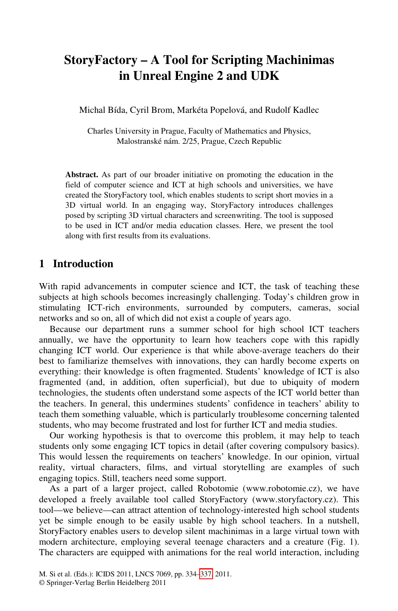# **StoryFactory – A Tool for Scripting Machinimas in Unreal Engine 2 and UDK**

Michal Bída, Cyril Brom, Markéta Popelová, and Rudolf Kadlec

Charles University in Prague, Faculty of Mathematics and Physics, Malostranské nám. 2/25, Prague, Czech Republic

**Abstract.** As part of our broader initiative on promoting the education in the field of computer science and ICT at high schools and universities, we have created the StoryFactory tool, which enables students to script short movies in a 3D virtual world. In an engaging way, StoryFactory introduces challenges posed by scripting 3D virtual characters and screenwriting. The tool is supposed to be used in ICT and/or media education classes. Here, we present the tool along with first results from its evaluations.

#### **1 Introduction**

With rapid advancements in computer science and ICT, the task of teaching these subjects at high schools becomes increasingly challenging. Today's children grow in stimulating ICT-rich environments, surrounded by computers, cameras, social networks and so on, all of which did not exist a couple of years ago.

Because our department runs a summer school for high school ICT teachers annually, we have the opportunity to learn how teachers cope with this rapidly changing ICT world. Our experience is that while above-average teachers do their best to familiarize themselves with innovations, they can hardly become experts on everything: their knowledge is often fragmented. Students' knowledge of ICT is also fragmented (and, in addition, often superficial), but due to ubiquity of modern technologies, the students often understand some aspects of the ICT world better than the teachers. In general, this undermines students' confidence in teachers' ability to teach them something valuable, which is particularly troublesome concerning talented students, who may become frustrated and lost for further ICT and media studies.

Our working hypothesis is that to overcome this problem, it may help to teach students only some engaging ICT topics in detail (after covering compulsory basics). This would lessen the requirements on teachers' knowledge. In our opinion, virtual reality, virtual characters, films, and virtual storytelling are examples of such engaging topics. Still, teachers need some support.

As a part of a lar[ger](#page-3-0) project, called Robotomie (www.robotomie.cz), we have developed a freely available tool called StoryFactory (www.storyfactory.cz). This tool—we believe—can attract attention of technology-interested high school students yet be simple enough to be easily usable by high school teachers. In a nutshell, StoryFactory enables users to develop silent machinimas in a large virtual town with modern architecture, employing several teenage characters and a creature (Fig. 1). The characters are equipped with animations for the real world interaction, including

M. Si et al. (Eds.): ICIDS 2011, LNCS 7069, pp. 334–337, 2011.

<sup>©</sup> Springer-Verlag Berlin Heidelberg 2011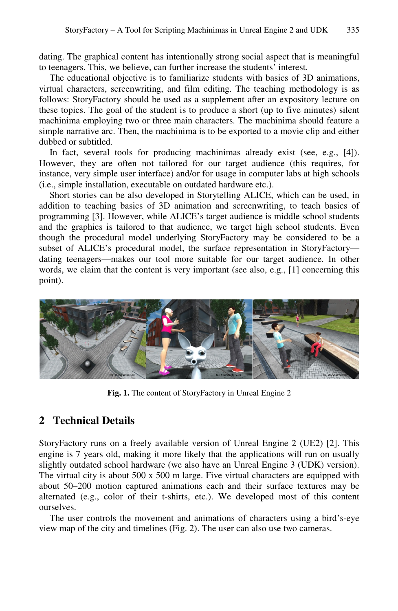dating. The graphical content has intentionally strong social aspect that is meaningful to teenagers. This, we believe, can further increase the students' interest.

The educational objective is to familiarize students with basics of 3D animations, virtual characters, screenwriting, and film editing. The teaching methodology is as follows: StoryFactory should be used as a supplement after an expository lecture on these topics. The goal of the student is to produce a short (up to five minutes) silent machinima employing two or three main characters. The machinima should feature a simple narrative arc. Then, the machinima is to be exported to a movie clip and either dubbed or subtitled.

In fact, several tools for producing machinimas already exist (see, e.g., [4]). However, they are often not tailored for our target audience (this requires, for instance, very simple user interface) and/or for usage in computer labs at high schools (i.e., simple installation, executable on outdated hardware etc.).

Short stories can be also developed in Storytelling ALICE, which can be used, in addition to teaching basics of 3D animation and screenwriting, to teach basics of programming [3]. However, while ALICE's target audience is middle school students and the graphics is tailored to that audience, we target high school students. Even though the procedural model underlying StoryFactory may be considered to be a subset of ALICE's procedural model, the surface representation in StoryFactory dating teenagers—makes our tool more suitable for our target audience. In other words, we claim that the content is very important (see also, e.g., [1] concerning this point).



**Fig. 1.** The content of StoryFactory in Unreal Engine 2

## **2 Technical Details**

StoryFactory runs on a freely available version of Unreal Engine 2 (UE2) [2]. This engine is 7 years old, making it more likely that the applications will run on usually slightly outdated school hardware (we also have an Unreal Engine 3 (UDK) version). The virtual city is about 500 x 500 m large. Five virtual characters are equipped with about 50–200 motion captured animations each and their surface textures may be alternated (e.g., color of their t-shirts, etc.). We developed most of this content ourselves.

The user controls the movement and animations of characters using a bird's-eye view map of the city and timelines (Fig. 2). The user can also use two cameras.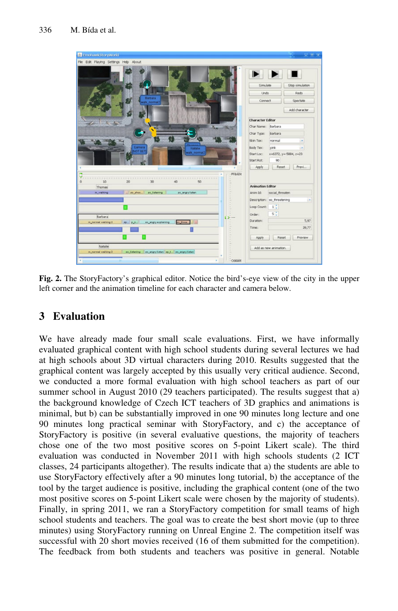

**Fig. 2.** The StoryFactory's graphical editor. Notice the bird's-eye view of the city in the upper left corner and the animation timeline for each character and camera below.

# **3 Evaluation**

We have already made four small scale evaluations. First, we have informally evaluated graphical content with high school students during several lectures we had at high schools about 3D virtual characters during 2010. Results suggested that the graphical content was largely accepted by this usually very critical audience. Second, we conducted a more formal evaluation with high school teachers as part of our summer school in August 2010 (29 teachers participated). The results suggest that a) the background knowledge of Czech ICT teachers of 3D graphics and animations is minimal, but b) can be substantially improved in one 90 minutes long lecture and one 90 minutes long practical seminar with StoryFactory, and c) the acceptance of StoryFactory is positive (in several evaluative questions, the majority of teachers chose one of the two most positive scores on 5-point Likert scale). The third evaluation was conducted in November 2011 with high schools students (2 ICT classes, 24 participants altogether). The results indicate that a) the students are able to use StoryFactory effectively after a 90 minutes long tutorial, b) the acceptance of the tool by the target audience is positive, including the graphical content (one of the two most positive scores on 5-point Likert scale were chosen by the majority of students). Finally, in spring 2011, we ran a StoryFactory competition for small teams of high school students and teachers. The goal was to create the best short movie (up to three minutes) using StoryFactory running on Unreal Engine 2. The competition itself was successful with 20 short movies received (16 of them submitted for the competition). The feedback from both students and teachers was positive in general. Notable